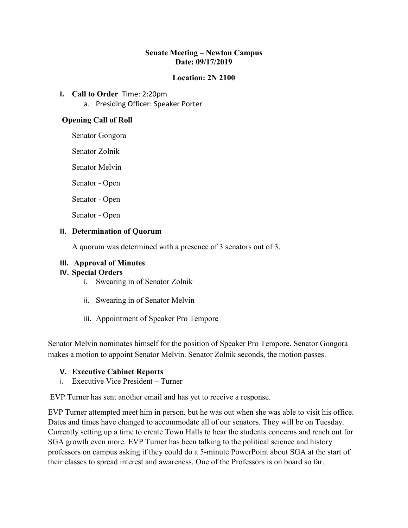## **Senate Meeting – Newton Campus Date: 09/17/2019**

## **Location: 2N 2100**

- **I. Call to Order** Time: 2:20pm
	- a. Presiding Officer: Speaker Porter

## **Opening Call of Roll**

Senator Gongora

Senator Zolnik

Senator Melvin

Senator - Open

Senator - Open

Senator - Open

#### **II. Determination of Quorum**

A quorum was determined with a presence of 3 senators out of 3.

#### **III. Approval of Minutes**

#### **IV. Special Orders**

- i. Swearing in of Senator Zolnik
- ii. Swearing in of Senator Melvin
- iii. Appointment of Speaker Pro Tempore

Senator Melvin nominates himself for the position of Speaker Pro Tempore. Senator Gongora makes a motion to appoint Senator Melvin. Senator Zolnik seconds, the motion passes.

#### **V. Executive Cabinet Reports**

i. Executive Vice President – Turner

EVP Turner has sent another email and has yet to receive a response.

EVP Turner attempted meet him in person, but he was out when she was able to visit his office. Dates and times have changed to accommodate all of our senators. They will be on Tuesday. Currently setting up a time to create Town Halls to hear the students concerns and reach out for SGA growth even more. EVP Turner has been talking to the political science and history professors on campus asking if they could do a 5-minute PowerPoint about SGA at the start of their classes to spread interest and awareness. One of the Professors is on board so far.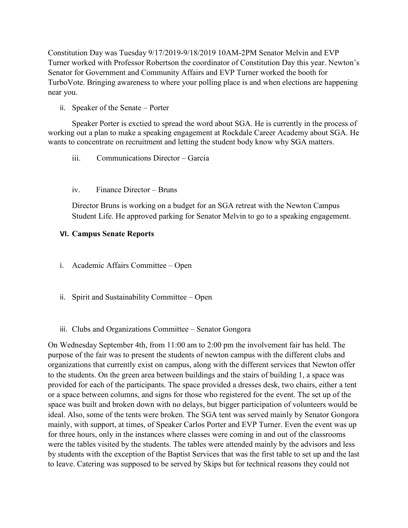Constitution Day was Tuesday 9/17/2019-9/18/2019 10AM-2PM Senator Melvin and EVP Turner worked with Professor Robertson the coordinator of Constitution Day this year. Newton's Senator for Government and Community Affairs and EVP Turner worked the booth for TurboVote. Bringing awareness to where your polling place is and when elections are happening near you.

ii. Speaker of the Senate – Porter

Speaker Porter is exctied to spread the word about SGA. He is currently in the process of working out a plan to make a speaking engagement at Rockdale Career Academy about SGA. He wants to concentrate on recruitment and letting the student body know why SGA matters.

- iii. Communications Director Garcia
- iv. Finance Director Bruns

Director Bruns is working on a budget for an SGA retreat with the Newton Campus Student Life. He approved parking for Senator Melvin to go to a speaking engagement.

## **VI. Campus Senate Reports**

- i. Academic Affairs Committee Open
- ii. Spirit and Sustainability Committee Open
- iii. Clubs and Organizations Committee Senator Gongora

On Wednesday September 4th, from 11:00 am to 2:00 pm the involvement fair has held. The purpose of the fair was to present the students of newton campus with the different clubs and organizations that currently exist on campus, along with the different services that Newton offer to the students. On the green area between buildings and the stairs of building 1, a space was provided for each of the participants. The space provided a dresses desk, two chairs, either a tent or a space between columns, and signs for those who registered for the event. The set up of the space was built and broken down with no delays, but bigger participation of volunteers would be ideal. Also, some of the tents were broken. The SGA tent was served mainly by Senator Gongora mainly, with support, at times, of Speaker Carlos Porter and EVP Turner. Even the event was up for three hours, only in the instances where classes were coming in and out of the classrooms were the tables visited by the students. The tables were attended mainly by the advisors and less by students with the exception of the Baptist Services that was the first table to set up and the last to leave. Catering was supposed to be served by Skips but for technical reasons they could not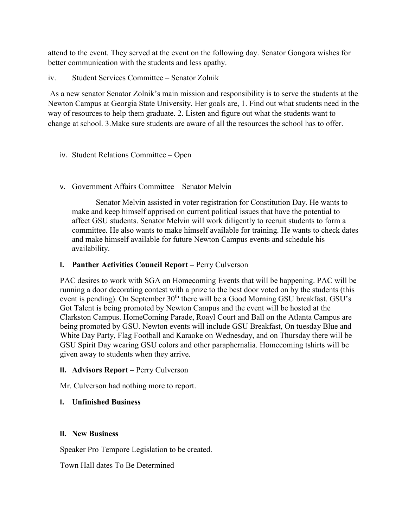attend to the event. They served at the event on the following day. Senator Gongora wishes for better communication with the students and less apathy.

iv. Student Services Committee – Senator Zolnik

As a new senator Senator Zolnik's main mission and responsibility is to serve the students at the Newton Campus at Georgia State University. Her goals are, 1. Find out what students need in the way of resources to help them graduate. 2. Listen and figure out what the students want to change at school. 3.Make sure students are aware of all the resources the school has to offer.

- iv. Student Relations Committee Open
- v. Government Affairs Committee Senator Melvin

Senator Melvin assisted in voter registration for Constitution Day. He wants to make and keep himself apprised on current political issues that have the potential to affect GSU students. Senator Melvin will work diligently to recruit students to form a committee. He also wants to make himself available for training. He wants to check dates and make himself available for future Newton Campus events and schedule his availability.

## **I. Panther Activities Council Report –** Perry Culverson

PAC desires to work with SGA on Homecoming Events that will be happening. PAC will be running a door decorating contest with a prize to the best door voted on by the students (this event is pending). On September  $30<sup>th</sup>$  there will be a Good Morning GSU breakfast. GSU's Got Talent is being promoted by Newton Campus and the event will be hosted at the Clarkston Campus. HomeComing Parade, Roayl Court and Ball on the Atlanta Campus are being promoted by GSU. Newton events will include GSU Breakfast, On tuesday Blue and White Day Party, Flag Football and Karaoke on Wednesday, and on Thursday there will be GSU Spirit Day wearing GSU colors and other paraphernalia. Homecoming tshirts will be given away to students when they arrive.

## **II. Advisors Report** – Perry Culverson

Mr. Culverson had nothing more to report.

## **I. Unfinished Business**

#### **II. New Business**

Speaker Pro Tempore Legislation to be created.

Town Hall dates To Be Determined